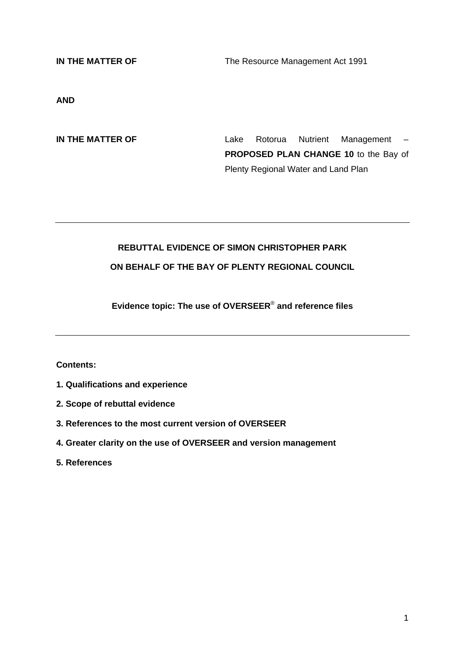**IN THE MATTER OF The Resource Management Act 1991** 

**AND** 

**IN THE MATTER OF** Lake Rotorua Nutrient Management – **PROPOSED PLAN CHANGE 10** to the Bay of Plenty Regional Water and Land Plan

# **REBUTTAL EVIDENCE OF SIMON CHRISTOPHER PARK**

## **ON BEHALF OF THE BAY OF PLENTY REGIONAL COUNCIL**

**Evidence topic: The use of OVERSEER**® **and reference files** 

**Contents:** 

- **1. Qualifications and experience**
- **2. Scope of rebuttal evidence**
- **3. References to the most current version of OVERSEER**
- **4. Greater clarity on the use of OVERSEER and version management**

**5. References**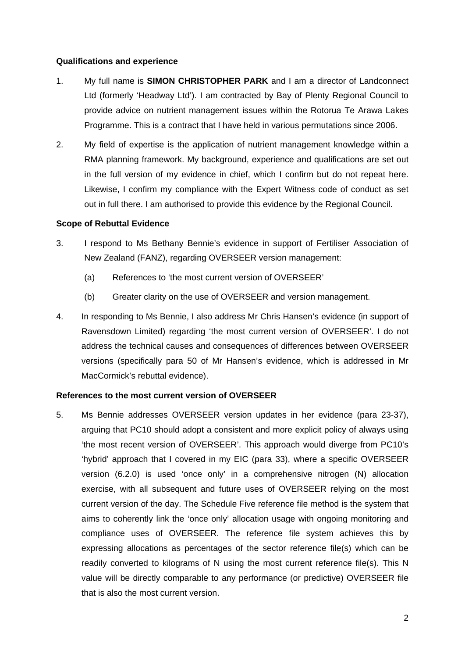#### **Qualifications and experience**

- 1. My full name is **SIMON CHRISTOPHER PARK** and I am a director of Landconnect Ltd (formerly 'Headway Ltd'). I am contracted by Bay of Plenty Regional Council to provide advice on nutrient management issues within the Rotorua Te Arawa Lakes Programme. This is a contract that I have held in various permutations since 2006.
- 2. My field of expertise is the application of nutrient management knowledge within a RMA planning framework. My background, experience and qualifications are set out in the full version of my evidence in chief, which I confirm but do not repeat here. Likewise, I confirm my compliance with the Expert Witness code of conduct as set out in full there. I am authorised to provide this evidence by the Regional Council.

#### **Scope of Rebuttal Evidence**

- 3. I respond to Ms Bethany Bennie's evidence in support of Fertiliser Association of New Zealand (FANZ), regarding OVERSEER version management:
	- (a) References to 'the most current version of OVERSEER'
	- (b) Greater clarity on the use of OVERSEER and version management.
- 4. In responding to Ms Bennie, I also address Mr Chris Hansen's evidence (in support of Ravensdown Limited) regarding 'the most current version of OVERSEER'. I do not address the technical causes and consequences of differences between OVERSEER versions (specifically para 50 of Mr Hansen's evidence, which is addressed in Mr MacCormick's rebuttal evidence).

#### **References to the most current version of OVERSEER**

5. Ms Bennie addresses OVERSEER version updates in her evidence (para 23-37), arguing that PC10 should adopt a consistent and more explicit policy of always using 'the most recent version of OVERSEER'. This approach would diverge from PC10's 'hybrid' approach that I covered in my EIC (para 33), where a specific OVERSEER version (6.2.0) is used 'once only' in a comprehensive nitrogen (N) allocation exercise, with all subsequent and future uses of OVERSEER relying on the most current version of the day. The Schedule Five reference file method is the system that aims to coherently link the 'once only' allocation usage with ongoing monitoring and compliance uses of OVERSEER. The reference file system achieves this by expressing allocations as percentages of the sector reference file(s) which can be readily converted to kilograms of N using the most current reference file(s). This N value will be directly comparable to any performance (or predictive) OVERSEER file that is also the most current version.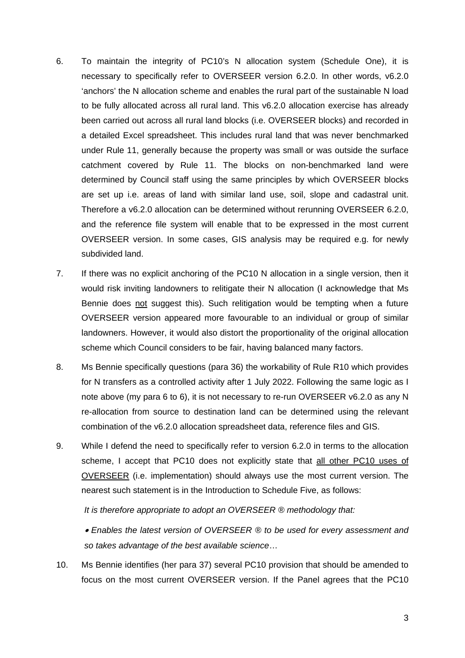- 6. To maintain the integrity of PC10's N allocation system (Schedule One), it is necessary to specifically refer to OVERSEER version 6.2.0. In other words, v6.2.0 'anchors' the N allocation scheme and enables the rural part of the sustainable N load to be fully allocated across all rural land. This v6.2.0 allocation exercise has already been carried out across all rural land blocks (i.e. OVERSEER blocks) and recorded in a detailed Excel spreadsheet. This includes rural land that was never benchmarked under Rule 11, generally because the property was small or was outside the surface catchment covered by Rule 11. The blocks on non-benchmarked land were determined by Council staff using the same principles by which OVERSEER blocks are set up i.e. areas of land with similar land use, soil, slope and cadastral unit. Therefore a v6.2.0 allocation can be determined without rerunning OVERSEER 6.2.0, and the reference file system will enable that to be expressed in the most current OVERSEER version. In some cases, GIS analysis may be required e.g. for newly subdivided land.
- 7. If there was no explicit anchoring of the PC10 N allocation in a single version, then it would risk inviting landowners to relitigate their N allocation (I acknowledge that Ms Bennie does not suggest this). Such relitigation would be tempting when a future OVERSEER version appeared more favourable to an individual or group of similar landowners. However, it would also distort the proportionality of the original allocation scheme which Council considers to be fair, having balanced many factors.
- 8. Ms Bennie specifically questions (para 36) the workability of Rule R10 which provides for N transfers as a controlled activity after 1 July 2022. Following the same logic as I note above (my para 6 to 6), it is not necessary to re-run OVERSEER v6.2.0 as any N re-allocation from source to destination land can be determined using the relevant combination of the v6.2.0 allocation spreadsheet data, reference files and GIS.
- 9. While I defend the need to specifically refer to version 6.2.0 in terms to the allocation scheme, I accept that PC10 does not explicitly state that all other PC10 uses of OVERSEER (i.e. implementation) should always use the most current version. The nearest such statement is in the Introduction to Schedule Five, as follows:

*It is therefore appropriate to adopt an OVERSEER ® methodology that:* 

• *Enables the latest version of OVERSEER ® to be used for every assessment and so takes advantage of the best available science*…

10. Ms Bennie identifies (her para 37) several PC10 provision that should be amended to focus on the most current OVERSEER version. If the Panel agrees that the PC10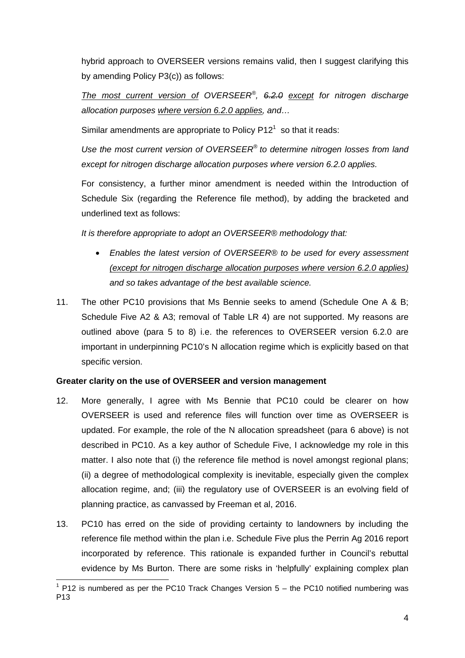hybrid approach to OVERSEER versions remains valid, then I suggest clarifying this by amending Policy P3(c)) as follows:

*The most current version of OVERSEER®, 6.2.0 except for nitrogen discharge allocation purposes where version 6.2.0 applies, and…* 

Similar amendments are appropriate to Policy  $P12<sup>1</sup>$  so that it reads:

*Use the most current version of OVERSEER® to determine nitrogen losses from land except for nitrogen discharge allocation purposes where version 6.2.0 applies.* 

For consistency, a further minor amendment is needed within the Introduction of Schedule Six (regarding the Reference file method), by adding the bracketed and underlined text as follows:

*It is therefore appropriate to adopt an OVERSEER® methodology that:* 

- *Enables the latest version of OVERSEER® to be used for every assessment (except for nitrogen discharge allocation purposes where version 6.2.0 applies) and so takes advantage of the best available science.*
- 11. The other PC10 provisions that Ms Bennie seeks to amend (Schedule One A & B; Schedule Five A2 & A3; removal of Table LR 4) are not supported. My reasons are outlined above (para 5 to 8) i.e. the references to OVERSEER version 6.2.0 are important in underpinning PC10's N allocation regime which is explicitly based on that specific version.

## **Greater clarity on the use of OVERSEER and version management**

- 12. More generally, I agree with Ms Bennie that PC10 could be clearer on how OVERSEER is used and reference files will function over time as OVERSEER is updated. For example, the role of the N allocation spreadsheet (para 6 above) is not described in PC10. As a key author of Schedule Five, I acknowledge my role in this matter. I also note that (i) the reference file method is novel amongst regional plans; (ii) a degree of methodological complexity is inevitable, especially given the complex allocation regime, and; (iii) the regulatory use of OVERSEER is an evolving field of planning practice, as canvassed by Freeman et al, 2016.
- 13. PC10 has erred on the side of providing certainty to landowners by including the reference file method within the plan i.e. Schedule Five plus the Perrin Ag 2016 report incorporated by reference. This rationale is expanded further in Council's rebuttal evidence by Ms Burton. There are some risks in 'helpfully' explaining complex plan

 1 P12 is numbered as per the PC10 Track Changes Version 5 – the PC10 notified numbering was P13